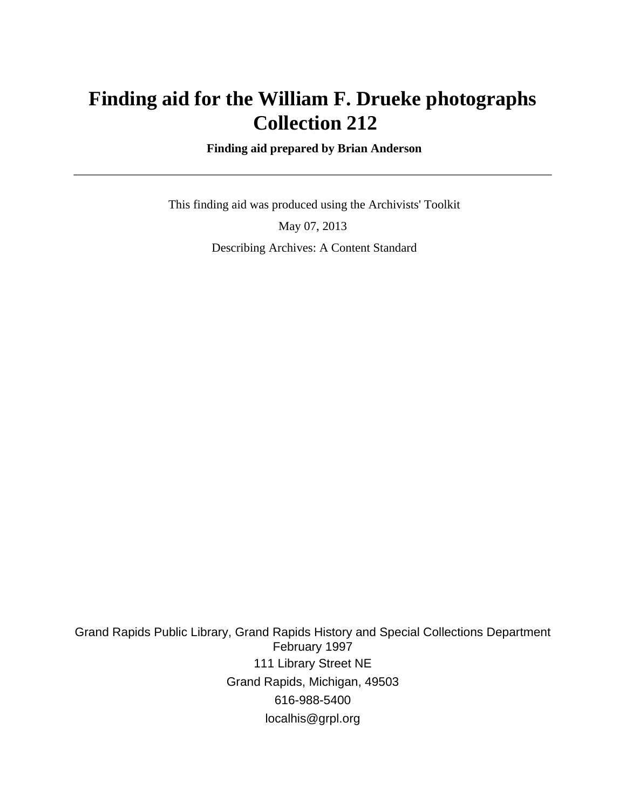# **Finding aid for the William F. Drueke photographs Collection 212**

 **Finding aid prepared by Brian Anderson**

 This finding aid was produced using the Archivists' Toolkit May 07, 2013 Describing Archives: A Content Standard

Grand Rapids Public Library, Grand Rapids History and Special Collections Department February 1997 111 Library Street NE Grand Rapids, Michigan, 49503 616-988-5400 localhis@grpl.org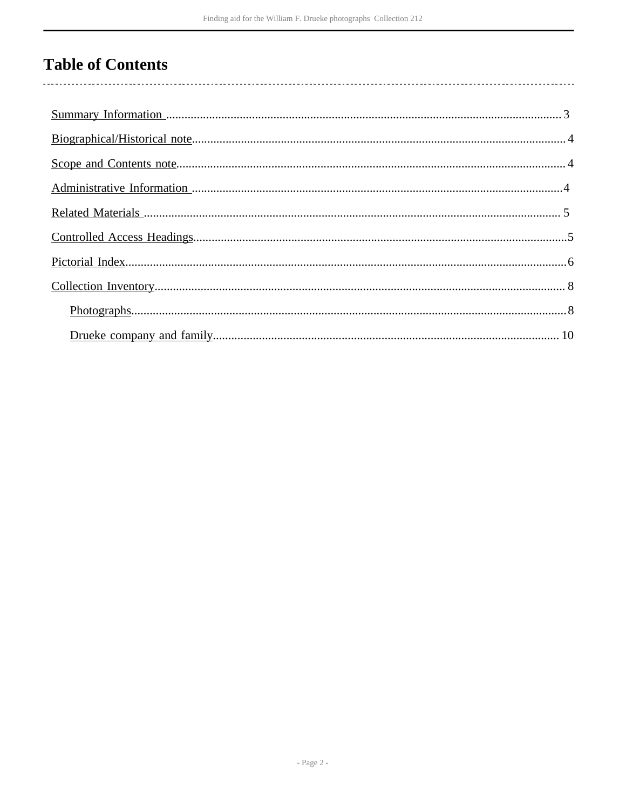# **Table of Contents**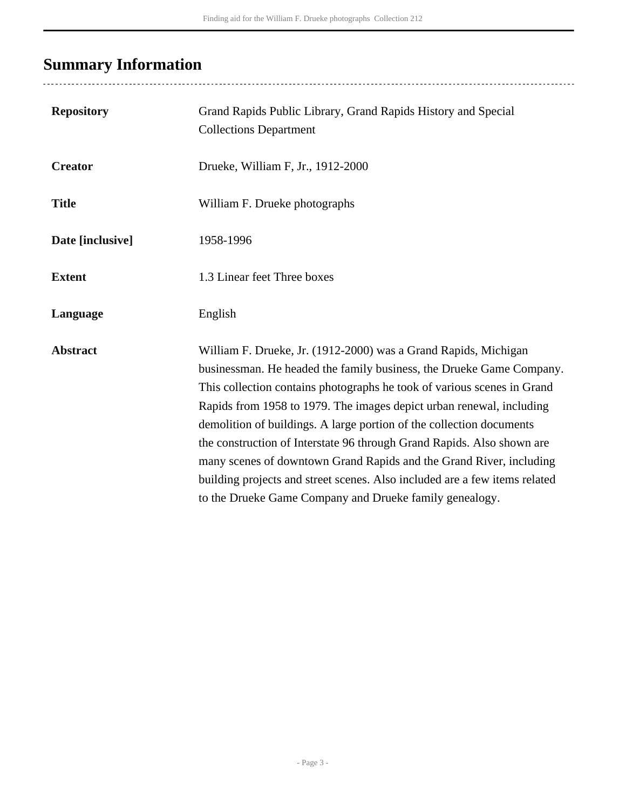# <span id="page-2-0"></span>**Summary Information**

| <b>Repository</b> | Grand Rapids Public Library, Grand Rapids History and Special<br><b>Collections Department</b>                                                                                                                                                                                                                                                                                                                                                                                                                                                                                                                                                               |
|-------------------|--------------------------------------------------------------------------------------------------------------------------------------------------------------------------------------------------------------------------------------------------------------------------------------------------------------------------------------------------------------------------------------------------------------------------------------------------------------------------------------------------------------------------------------------------------------------------------------------------------------------------------------------------------------|
| <b>Creator</b>    | Drueke, William F, Jr., 1912-2000                                                                                                                                                                                                                                                                                                                                                                                                                                                                                                                                                                                                                            |
| <b>Title</b>      | William F. Drueke photographs                                                                                                                                                                                                                                                                                                                                                                                                                                                                                                                                                                                                                                |
| Date [inclusive]  | 1958-1996                                                                                                                                                                                                                                                                                                                                                                                                                                                                                                                                                                                                                                                    |
| <b>Extent</b>     | 1.3 Linear feet Three boxes                                                                                                                                                                                                                                                                                                                                                                                                                                                                                                                                                                                                                                  |
| Language          | English                                                                                                                                                                                                                                                                                                                                                                                                                                                                                                                                                                                                                                                      |
| <b>Abstract</b>   | William F. Drueke, Jr. (1912-2000) was a Grand Rapids, Michigan<br>businessman. He headed the family business, the Drueke Game Company.<br>This collection contains photographs he took of various scenes in Grand<br>Rapids from 1958 to 1979. The images depict urban renewal, including<br>demolition of buildings. A large portion of the collection documents<br>the construction of Interstate 96 through Grand Rapids. Also shown are<br>many scenes of downtown Grand Rapids and the Grand River, including<br>building projects and street scenes. Also included are a few items related<br>to the Drueke Game Company and Drueke family genealogy. |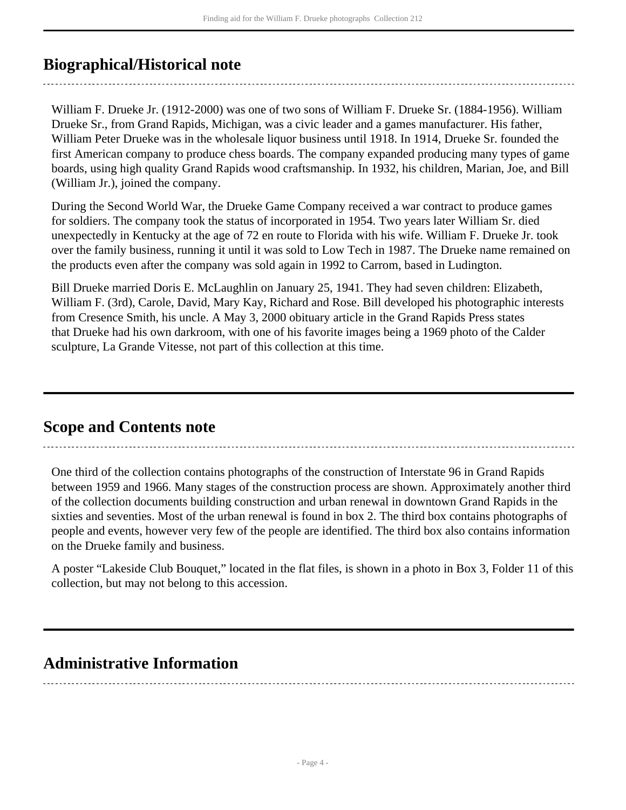## <span id="page-3-0"></span>**Biographical/Historical note**

William F. Drueke Jr. (1912-2000) was one of two sons of William F. Drueke Sr. (1884-1956). William Drueke Sr., from Grand Rapids, Michigan, was a civic leader and a games manufacturer. His father, William Peter Drueke was in the wholesale liquor business until 1918. In 1914, Drueke Sr. founded the first American company to produce chess boards. The company expanded producing many types of game boards, using high quality Grand Rapids wood craftsmanship. In 1932, his children, Marian, Joe, and Bill (William Jr.), joined the company.

During the Second World War, the Drueke Game Company received a war contract to produce games for soldiers. The company took the status of incorporated in 1954. Two years later William Sr. died unexpectedly in Kentucky at the age of 72 en route to Florida with his wife. William F. Drueke Jr. took over the family business, running it until it was sold to Low Tech in 1987. The Drueke name remained on the products even after the company was sold again in 1992 to Carrom, based in Ludington.

Bill Drueke married Doris E. McLaughlin on January 25, 1941. They had seven children: Elizabeth, William F. (3rd), Carole, David, Mary Kay, Richard and Rose. Bill developed his photographic interests from Cresence Smith, his uncle. A May 3, 2000 obituary article in the Grand Rapids Press states that Drueke had his own darkroom, with one of his favorite images being a 1969 photo of the Calder sculpture, La Grande Vitesse, not part of this collection at this time.

### <span id="page-3-1"></span>**Scope and Contents note**

One third of the collection contains photographs of the construction of Interstate 96 in Grand Rapids between 1959 and 1966. Many stages of the construction process are shown. Approximately another third of the collection documents building construction and urban renewal in downtown Grand Rapids in the sixties and seventies. Most of the urban renewal is found in box 2. The third box contains photographs of people and events, however very few of the people are identified. The third box also contains information on the Drueke family and business.

A poster "Lakeside Club Bouquet," located in the flat files, is shown in a photo in Box 3, Folder 11 of this collection, but may not belong to this accession.

## <span id="page-3-2"></span>**Administrative Information**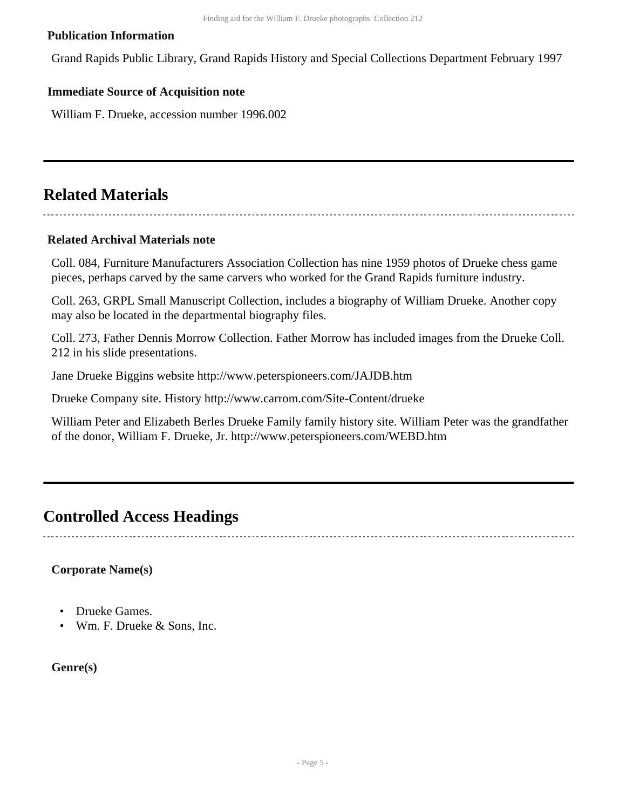#### **Publication Information**

Grand Rapids Public Library, Grand Rapids History and Special Collections Department February 1997

#### **Immediate Source of Acquisition note**

William F. Drueke, accession number 1996.002

### <span id="page-4-0"></span>**Related Materials**

#### **Related Archival Materials note**

Coll. 084, Furniture Manufacturers Association Collection has nine 1959 photos of Drueke chess game pieces, perhaps carved by the same carvers who worked for the Grand Rapids furniture industry.

Coll. 263, GRPL Small Manuscript Collection, includes a biography of William Drueke. Another copy may also be located in the departmental biography files.

Coll. 273, Father Dennis Morrow Collection. Father Morrow has included images from the Drueke Coll. 212 in his slide presentations.

Jane Drueke Biggins website http://www.peterspioneers.com/JAJDB.htm

Drueke Company site. History http://www.carrom.com/Site-Content/drueke

William Peter and Elizabeth Berles Drueke Family family history site. William Peter was the grandfather of the donor, William F. Drueke, Jr. http://www.peterspioneers.com/WEBD.htm

### <span id="page-4-1"></span>**Controlled Access Headings**

#### **Corporate Name(s)**

- Drueke Games.
- Wm. F. Drueke & Sons, Inc.

**Genre(s)**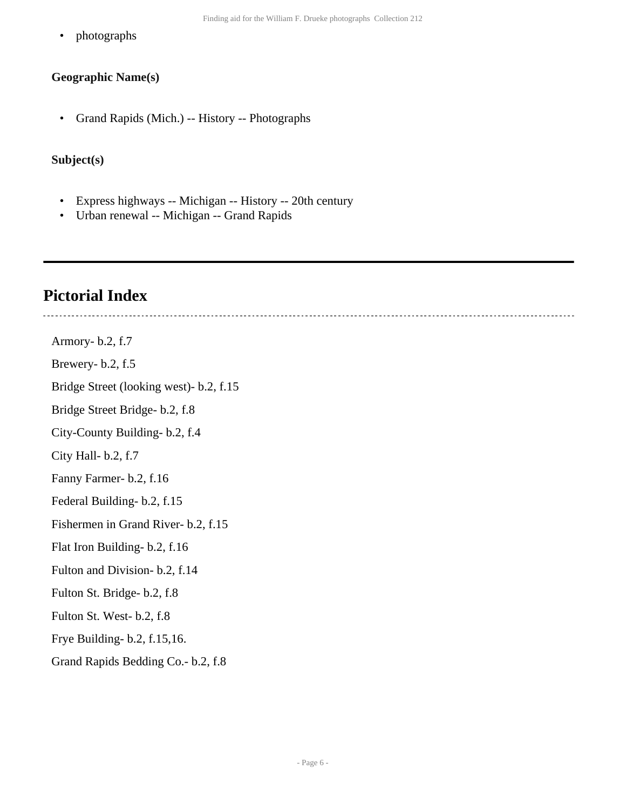• photographs

#### **Geographic Name(s)**

• Grand Rapids (Mich.) -- History -- Photographs

#### **Subject(s)**

- Express highways -- Michigan -- History -- 20th century
- Urban renewal -- Michigan -- Grand Rapids

## <span id="page-5-0"></span>**Pictorial Index**

Armory- b.2, f.7 Brewery- b.2, f.5 Bridge Street (looking west)- b.2, f.15 Bridge Street Bridge- b.2, f.8 City-County Building- b.2, f.4 City Hall- b.2, f.7 Fanny Farmer- b.2, f.16 Federal Building- b.2, f.15 Fishermen in Grand River- b.2, f.15

Flat Iron Building- b.2, f.16

Fulton and Division- b.2, f.14

Fulton St. Bridge- b.2, f.8

Fulton St. West- b.2, f.8

Frye Building- b.2, f.15,16.

Grand Rapids Bedding Co.- b.2, f.8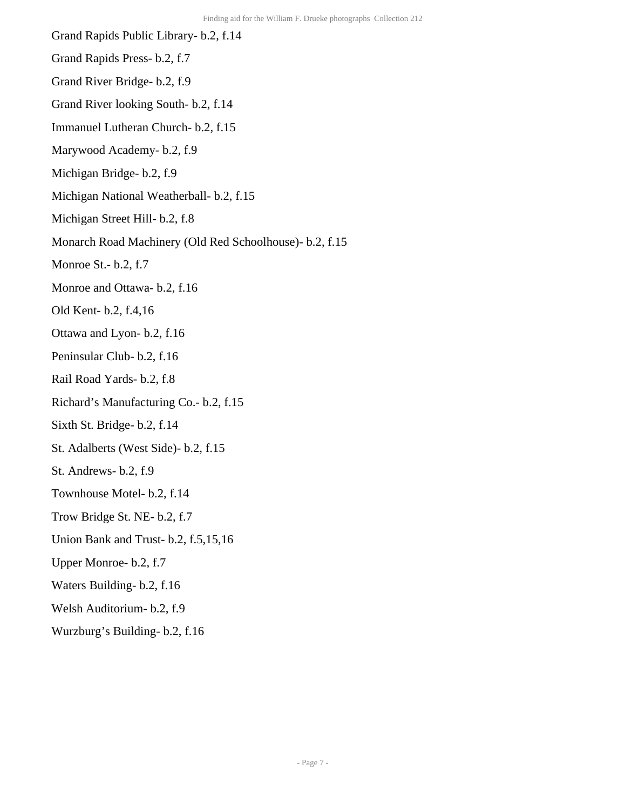- Grand Rapids Public Library- b.2, f.14
- Grand Rapids Press- b.2, f.7
- Grand River Bridge- b.2, f.9
- Grand River looking South- b.2, f.14
- Immanuel Lutheran Church- b.2, f.15
- Marywood Academy- b.2, f.9
- Michigan Bridge- b.2, f.9
- Michigan National Weatherball- b.2, f.15
- Michigan Street Hill- b.2, f.8
- Monarch Road Machinery (Old Red Schoolhouse)- b.2, f.15
- Monroe St.- b.2, f.7
- Monroe and Ottawa- b.2, f.16
- Old Kent- b.2, f.4,16
- Ottawa and Lyon- b.2, f.16
- Peninsular Club- b.2, f.16
- Rail Road Yards- b.2, f.8
- Richard's Manufacturing Co.- b.2, f.15
- Sixth St. Bridge- b.2, f.14
- St. Adalberts (West Side)- b.2, f.15
- St. Andrews- b.2, f.9
- Townhouse Motel- b.2, f.14
- Trow Bridge St. NE- b.2, f.7
- Union Bank and Trust- b.2, f.5,15,16
- Upper Monroe- b.2, f.7
- Waters Building- b.2, f.16
- Welsh Auditorium- b.2, f.9
- Wurzburg's Building- b.2, f.16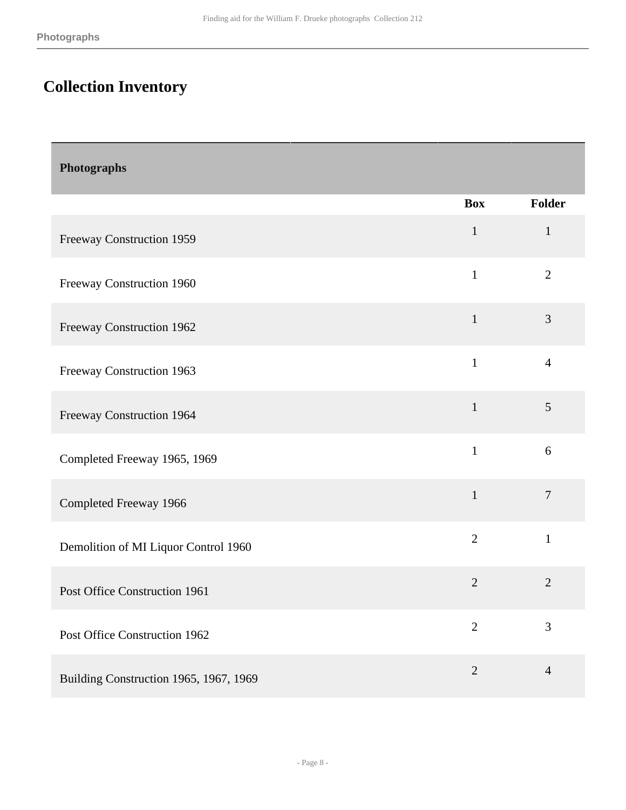## <span id="page-7-0"></span>**Collection Inventory**

<span id="page-7-1"></span>

| Photographs                            |                |                |
|----------------------------------------|----------------|----------------|
|                                        | <b>Box</b>     | Folder         |
| Freeway Construction 1959              | $\mathbf{1}$   | $\mathbf{1}$   |
| Freeway Construction 1960              | $\mathbf{1}$   | $\overline{2}$ |
| Freeway Construction 1962              | $\mathbf{1}$   | 3              |
| Freeway Construction 1963              | $\mathbf{1}$   | $\overline{4}$ |
| Freeway Construction 1964              | $\mathbf{1}$   | 5              |
| Completed Freeway 1965, 1969           | $\mathbf{1}$   | 6              |
| Completed Freeway 1966                 | $\mathbf{1}$   | $\tau$         |
| Demolition of MI Liquor Control 1960   | $\overline{2}$ | $\mathbf{1}$   |
| Post Office Construction 1961          | $\overline{2}$ | $\overline{2}$ |
| Post Office Construction 1962          | $\overline{2}$ | 3              |
| Building Construction 1965, 1967, 1969 | $\mathbf{2}$   | $\overline{4}$ |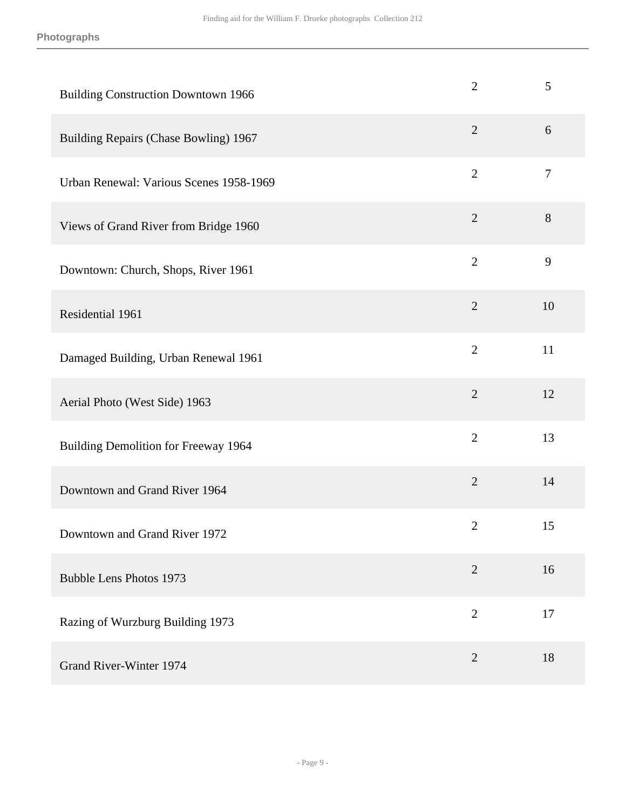| <b>Building Construction Downtown 1966</b> | $\overline{2}$ | 5      |
|--------------------------------------------|----------------|--------|
| Building Repairs (Chase Bowling) 1967      | $\overline{2}$ | 6      |
| Urban Renewal: Various Scenes 1958-1969    | $\overline{2}$ | $\tau$ |
| Views of Grand River from Bridge 1960      | $\overline{2}$ | 8      |
| Downtown: Church, Shops, River 1961        | $\overline{2}$ | 9      |
| Residential 1961                           | $\overline{2}$ | 10     |
| Damaged Building, Urban Renewal 1961       | $\overline{2}$ | 11     |
| Aerial Photo (West Side) 1963              | $\overline{2}$ | 12     |
| Building Demolition for Freeway 1964       | $\overline{2}$ | 13     |
| Downtown and Grand River 1964              | $\overline{2}$ | 14     |
| Downtown and Grand River 1972              | $\overline{2}$ | 15     |
| <b>Bubble Lens Photos 1973</b>             | $\overline{2}$ | 16     |
| Razing of Wurzburg Building 1973           | $\mathbf{2}$   | 17     |
| Grand River-Winter 1974                    | $\overline{2}$ | 18     |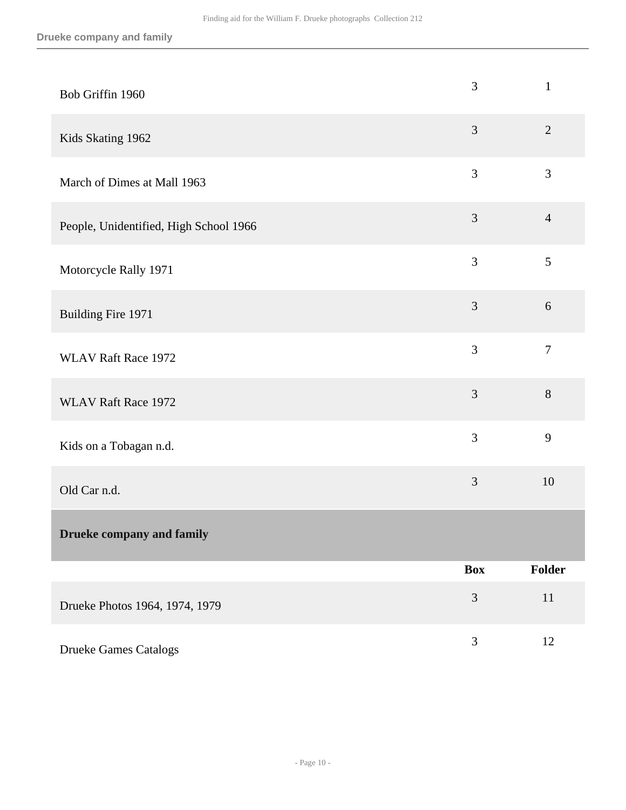<span id="page-9-0"></span>

| Bob Griffin 1960                       | 3              | $\mathbf{1}$   |
|----------------------------------------|----------------|----------------|
| Kids Skating 1962                      | 3              | $\overline{2}$ |
| March of Dimes at Mall 1963            | 3              | 3              |
| People, Unidentified, High School 1966 | $\mathfrak{Z}$ | $\overline{4}$ |
| Motorcycle Rally 1971                  | 3              | 5              |
| Building Fire 1971                     | $\mathfrak{Z}$ | 6              |
| <b>WLAV Raft Race 1972</b>             | 3              | $\overline{7}$ |
| <b>WLAV Raft Race 1972</b>             | 3              | 8              |
| Kids on a Tobagan n.d.                 | 3              | 9              |
| Old Car n.d.                           | 3              | 10             |
| <b>Drueke company and family</b>       |                |                |
|                                        | <b>Box</b>     | Folder         |
| Drueke Photos 1964, 1974, 1979         | $\mathfrak{Z}$ | $11$           |
| <b>Drueke Games Catalogs</b>           | $\mathfrak{Z}$ | 12             |